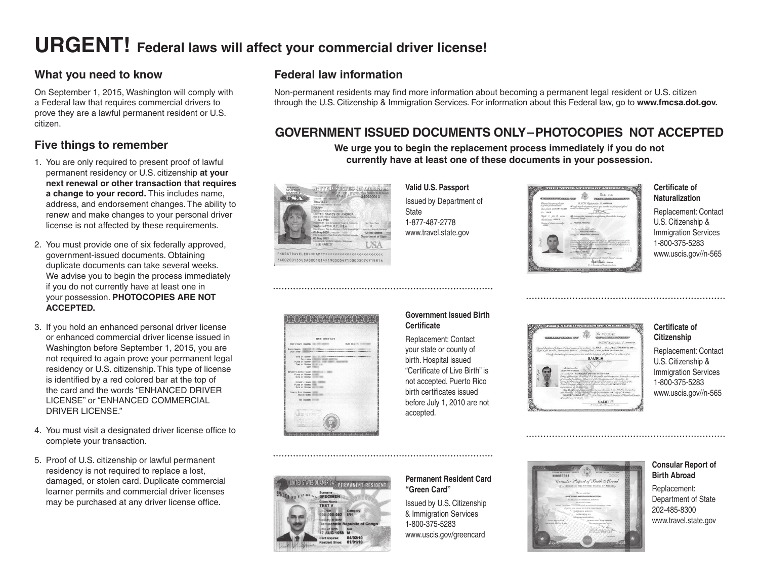# **URGENT! Federal laws will affect your commercial driver license!**

## **What you need to know**

On September 1, 2015, Washington will comply with a Federal law that requires commercial drivers to prove they are a lawful permanent resident or U.S. citizen.

## **Five things to remember**

- 1. You are only required to present proof of lawful permanent residency or U.S. citizenship **at your next renewal or other transaction that requires a change to your record.** This includes name, address, and endorsement changes. The ability to renew and make changes to your personal driver license is not affected by these requirements.
- 2. You must provide one of six federally approved, government-issued documents. Obtaining duplicate documents can take several weeks. We advise you to begin the process immediately if you do not currently have at least one in your possession. **PHOTOCOPIES ARE NOT ACCEPTED.**
- 3. If you hold an enhanced personal driver license or enhanced commercial driver license issued in Washington before September 1, 2015, you are not required to again prove your permanent legal residency or U.S. citizenship. This type of license is identified by a red colored bar at the top of the card and the words "ENHANCED DRIVER LICENSE" or "ENHANCED COMMERCIAL DRIVER LICENSE"
- 4. You must visit a designated driver license office to complete your transaction.
- 5. Proof of U.S. citizenship or lawful permanent residency is not required to replace a lost, damaged, or stolen card. Duplicate commercial learner permits and commercial driver licenses may be purchased at any driver license office.

## **Federal law information**

Non-permanent residents may find more information about becoming a permanent legal resident or U.S. citizen through the U.S. Citizenship & Immigration Services. For information about this Federal law, go to **www.fmcsa.dot.gov.**

## **GOVERNMENT ISSUED DOCUMENTS ONLY–PHOTOCOPIES NOT ACCEPTED**

**We urge you to begin the replacement process immediately if you do not currently have at least one of these documents in your possession.**



**Valid U.S. Passport** Issued by Department of **State** 1-877-487-2778 www.travel.state.gov



#### **Certificate of Naturalization**

Replacement: Contact U.S. Citizenship & Immigration Services 1-800-375-5283 www.uscis.gov//n-565



#### **Government Issued Birth Certificate**

Replacement: Contact your state or county of birth. Hospital issued "Certificate of Live Birth" is not accepted. Puerto Rico birth certificates issued before July 1, 2010 are not accepted.



#### **Certificate of Citizenship**

Replacement: Contact U.S. Citizenship & Immigration Services 1-800-375-5283 www.uscis.gov//n-565



#### **Permanent Resident Card "Green Card"**

Issued by U.S. Citizenship & Immigration Services 1-800-375-5283 www.uscis.gov/greencard



#### **Consular Report of Birth Abroad** Replacement: Department of State 202-485-8300 www.travel.state.gov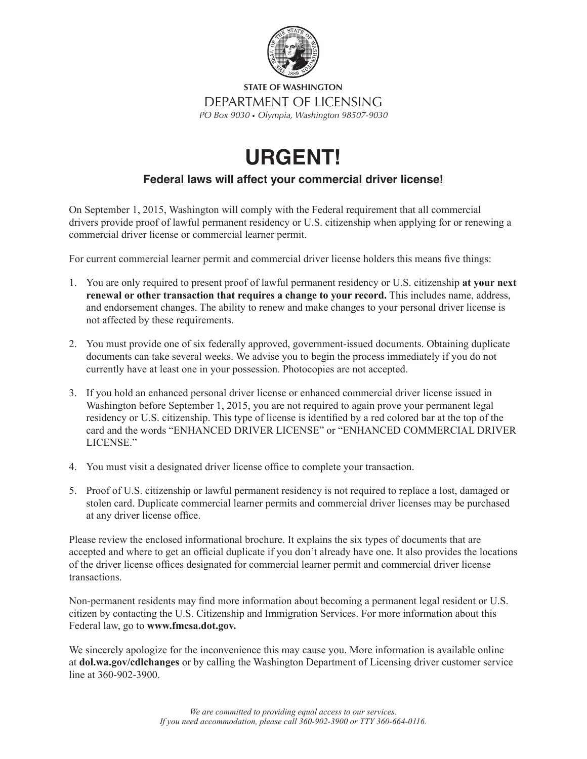

**STATE OF WASHINGTON** DEPARTMENT OF LICENSING *PO Box 9030* s *Olympia, Washington 98507-9030*

# **URGENT!**

## **Federal laws will affect your commercial driver license!**

On September 1, 2015, Washington will comply with the Federal requirement that all commercial drivers provide proof of lawful permanent residency or U.S. citizenship when applying for or renewing a commercial driver license or commercial learner permit.

For current commercial learner permit and commercial driver license holders this means fve things:

- 1. You are only required to present proof of lawful permanent residency or U.S. citizenship **at your next renewal or other transaction that requires a change to your record.** This includes name, address, and endorsement changes. The ability to renew and make changes to your personal driver license is not affected by these requirements.
- 2. You must provide one of six federally approved, government-issued documents. Obtaining duplicate documents can take several weeks. We advise you to begin the process immediately if you do not currently have at least one in your possession. Photocopies are not accepted.
- 3. If you hold an enhanced personal driver license or enhanced commercial driver license issued in Washington before September 1, 2015, you are not required to again prove your permanent legal residency or U.S. citizenship. This type of license is identifed by a red colored bar at the top of the card and the words "ENHANCED DRIVER LICENSE" or "ENHANCED COMMERCIAL DRIVER LICENSE<sup>"</sup>
- 4. You must visit a designated driver license offce to complete your transaction.
- 5. Proof of U.S. citizenship or lawful permanent residency is not required to replace a lost, damaged or stolen card. Duplicate commercial learner permits and commercial driver licenses may be purchased at any driver license office.

Please review the enclosed informational brochure. It explains the six types of documents that are accepted and where to get an official duplicate if you don't already have one. It also provides the locations of the driver license offices designated for commercial learner permit and commercial driver license transactions.

Non-permanent residents may fnd more information about becoming a permanent legal resident or U.S. citizen by contacting the U.S. Citizenship and Immigration Services. For more information about this Federal law, go to **www.fmcsa.dot.gov.**

We sincerely apologize for the inconvenience this may cause you. More information is available online at **dol.wa.gov/cdlchanges** or by calling the Washington Department of Licensing driver customer service line at 360-902-3900.